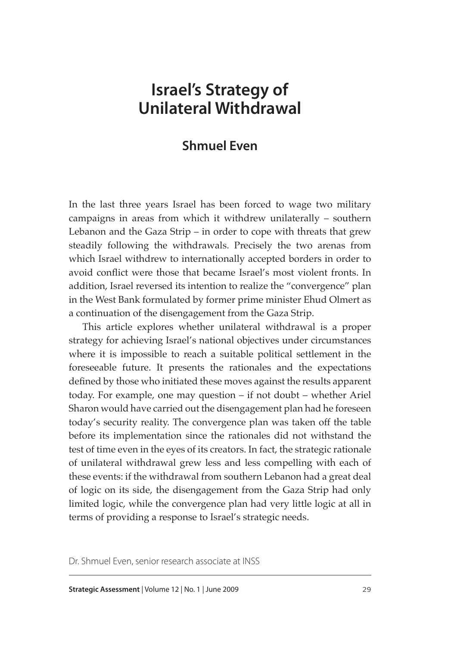# **Israel's Strategy of Unilateral Withdrawal**

# **Shmuel Even**

In the last three years Israel has been forced to wage two military campaigns in areas from which it withdrew unilaterally – southern Lebanon and the Gaza Strip – in order to cope with threats that grew steadily following the withdrawals. Precisely the two arenas from which Israel withdrew to internationally accepted borders in order to avoid conflict were those that became Israel's most violent fronts. In addition, Israel reversed its intention to realize the "convergence" plan in the West Bank formulated by former prime minister Ehud Olmert as a continuation of the disengagement from the Gaza Strip.

This article explores whether unilateral withdrawal is a proper strategy for achieving Israel's national objectives under circumstances where it is impossible to reach a suitable political settlement in the foreseeable future. It presents the rationales and the expectations defined by those who initiated these moves against the results apparent today. For example, one may question – if not doubt – whether Ariel Sharon would have carried out the disengagement plan had he foreseen today's security reality. The convergence plan was taken off the table before its implementation since the rationales did not withstand the test of time even in the eyes of its creators. In fact, the strategic rationale of unilateral withdrawal grew less and less compelling with each of these events: if the withdrawal from southern Lebanon had a great deal of logic on its side, the disengagement from the Gaza Strip had only limited logic, while the convergence plan had very little logic at all in terms of providing a response to Israel's strategic needs.

Dr. Shmuel Even, senior research associate at INSS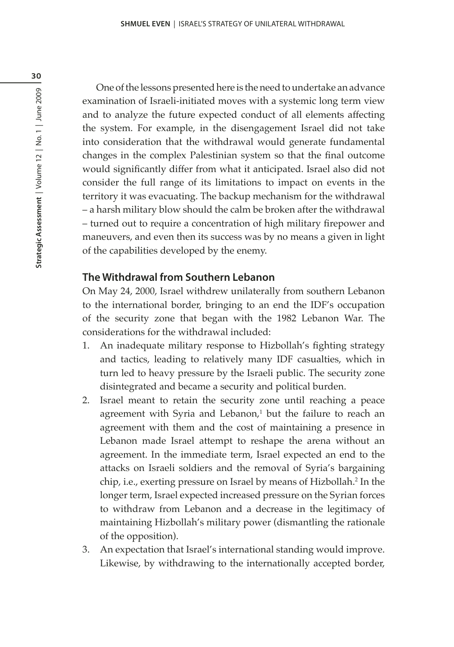One of the lessons presented here is the need to undertake an advance examination of Israeli-initiated moves with a systemic long term view and to analyze the future expected conduct of all elements affecting the system. For example, in the disengagement Israel did not take into consideration that the withdrawal would generate fundamental changes in the complex Palestinian system so that the final outcome would significantly differ from what it anticipated. Israel also did not consider the full range of its limitations to impact on events in the territory it was evacuating. The backup mechanism for the withdrawal – a harsh military blow should the calm be broken after the withdrawal – turned out to require a concentration of high military firepower and maneuvers, and even then its success was by no means a given in light of the capabilities developed by the enemy.

# **The Withdrawal from Southern Lebanon**

On May 24, 2000, Israel withdrew unilaterally from southern Lebanon to the international border, bringing to an end the IDF's occupation of the security zone that began with the 1982 Lebanon War. The considerations for the withdrawal included:

- 1. An inadequate military response to Hizbollah's fighting strategy and tactics, leading to relatively many IDF casualties, which in turn led to heavy pressure by the Israeli public. The security zone disintegrated and became a security and political burden.
- 2. Israel meant to retain the security zone until reaching a peace agreement with Syria and Lebanon, $^1$  but the failure to reach an agreement with them and the cost of maintaining a presence in Lebanon made Israel attempt to reshape the arena without an agreement. In the immediate term, Israel expected an end to the attacks on Israeli soldiers and the removal of Syria's bargaining chip, i.e., exerting pressure on Israel by means of Hizbollah.<sup>2</sup> In the longer term, Israel expected increased pressure on the Syrian forces to withdraw from Lebanon and a decrease in the legitimacy of maintaining Hizbollah's military power (dismantling the rationale of the opposition).
- 3. An expectation that Israel's international standing would improve. Likewise, by withdrawing to the internationally accepted border,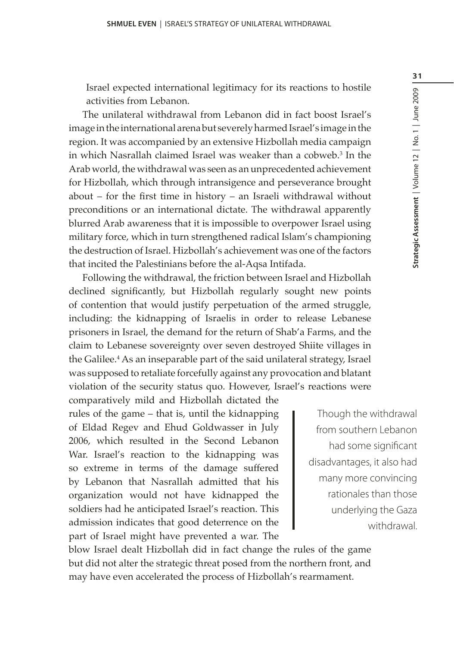Israel expected international legitimacy for its reactions to hostile activities from Lebanon.

The unilateral withdrawal from Lebanon did in fact boost Israel's image in the international arena but severely harmed Israel's image in the region. It was accompanied by an extensive Hizbollah media campaign in which Nasrallah claimed Israel was weaker than a cobweb.3 In the Arab world, the withdrawal was seen as an unprecedented achievement for Hizbollah, which through intransigence and perseverance brought about – for the first time in history – an Israeli withdrawal without preconditions or an international dictate. The withdrawal apparently blurred Arab awareness that it is impossible to overpower Israel using military force, which in turn strengthened radical Islam's championing the destruction of Israel. Hizbollah's achievement was one of the factors that incited the Palestinians before the al-Aqsa Intifada.

Following the withdrawal, the friction between Israel and Hizbollah declined significantly, but Hizbollah regularly sought new points of contention that would justify perpetuation of the armed struggle, including: the kidnapping of Israelis in order to release Lebanese prisoners in Israel, the demand for the return of Shab'a Farms, and the claim to Lebanese sovereignty over seven destroyed Shiite villages in the Galilee.4 As an inseparable part of the said unilateral strategy, Israel was supposed to retaliate forcefully against any provocation and blatant violation of the security status quo. However, Israel's reactions were comparatively mild and Hizbollah dictated the

rules of the game – that is, until the kidnapping of Eldad Regev and Ehud Goldwasser in July 2006, which resulted in the Second Lebanon War. Israel's reaction to the kidnapping was so extreme in terms of the damage suffered by Lebanon that Nasrallah admitted that his organization would not have kidnapped the soldiers had he anticipated Israel's reaction. This admission indicates that good deterrence on the part of Israel might have prevented a war. The

Though the withdrawal from southern Lebanon had some significant disadvantages, it also had many more convincing rationales than those underlying the Gaza withdrawal.

blow Israel dealt Hizbollah did in fact change the rules of the game but did not alter the strategic threat posed from the northern front, and may have even accelerated the process of Hizbollah's rearmament.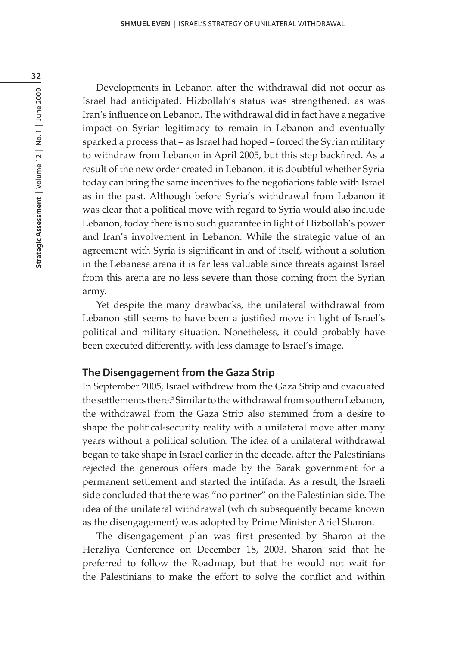Developments in Lebanon after the withdrawal did not occur as Israel had anticipated. Hizbollah's status was strengthened, as was Iran's influence on Lebanon. The withdrawal did in fact have a negative impact on Syrian legitimacy to remain in Lebanon and eventually sparked a process that – as Israel had hoped – forced the Syrian military to withdraw from Lebanon in April 2005, but this step backfired. As a result of the new order created in Lebanon, it is doubtful whether Syria today can bring the same incentives to the negotiations table with Israel as in the past. Although before Syria's withdrawal from Lebanon it was clear that a political move with regard to Syria would also include Lebanon, today there is no such guarantee in light of Hizbollah's power and Iran's involvement in Lebanon. While the strategic value of an agreement with Syria is significant in and of itself, without a solution in the Lebanese arena it is far less valuable since threats against Israel from this arena are no less severe than those coming from the Syrian army.

Yet despite the many drawbacks, the unilateral withdrawal from Lebanon still seems to have been a justified move in light of Israel's political and military situation. Nonetheless, it could probably have been executed differently, with less damage to Israel's image.

#### **The Disengagement from the Gaza Strip**

In September 2005, Israel withdrew from the Gaza Strip and evacuated the settlements there.<sup>5</sup> Similar to the withdrawal from southern Lebanon, the withdrawal from the Gaza Strip also stemmed from a desire to shape the political-security reality with a unilateral move after many years without a political solution. The idea of a unilateral withdrawal began to take shape in Israel earlier in the decade, after the Palestinians rejected the generous offers made by the Barak government for a permanent settlement and started the intifada. As a result, the Israeli side concluded that there was "no partner" on the Palestinian side. The idea of the unilateral withdrawal (which subsequently became known as the disengagement) was adopted by Prime Minister Ariel Sharon.

The disengagement plan was first presented by Sharon at the Herzliya Conference on December 18, 2003. Sharon said that he preferred to follow the Roadmap, but that he would not wait for the Palestinians to make the effort to solve the conflict and within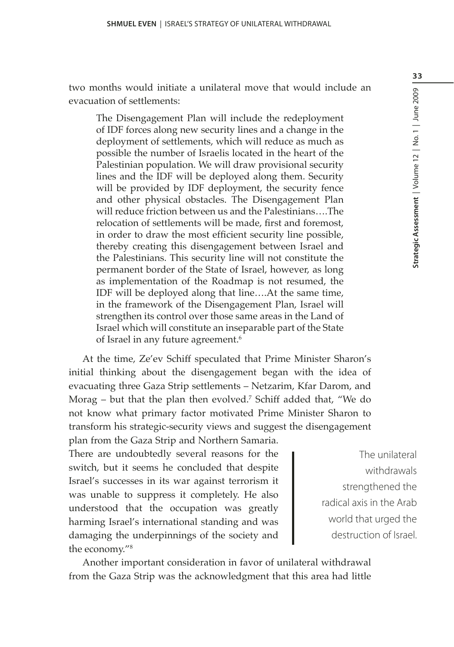two months would initiate a unilateral move that would include an evacuation of settlements:

The Disengagement Plan will include the redeployment of IDF forces along new security lines and a change in the deployment of settlements, which will reduce as much as possible the number of Israelis located in the heart of the Palestinian population. We will draw provisional security lines and the IDF will be deployed along them. Security will be provided by IDF deployment, the security fence and other physical obstacles. The Disengagement Plan will reduce friction between us and the Palestinians….The relocation of settlements will be made, first and foremost, in order to draw the most efficient security line possible, thereby creating this disengagement between Israel and the Palestinians. This security line will not constitute the permanent border of the State of Israel, however, as long as implementation of the Roadmap is not resumed, the IDF will be deployed along that line….At the same time, in the framework of the Disengagement Plan, Israel will strengthen its control over those same areas in the Land of Israel which will constitute an inseparable part of the State of Israel in any future agreement.<sup>6</sup>

At the time, Ze'ev Schiff speculated that Prime Minister Sharon's initial thinking about the disengagement began with the idea of evacuating three Gaza Strip settlements – Netzarim, Kfar Darom, and Morag – but that the plan then evolved.<sup>7</sup> Schiff added that, "We do not know what primary factor motivated Prime Minister Sharon to transform his strategic-security views and suggest the disengagement plan from the Gaza Strip and Northern Samaria.

There are undoubtedly several reasons for the switch, but it seems he concluded that despite Israel's successes in its war against terrorism it was unable to suppress it completely. He also understood that the occupation was greatly harming Israel's international standing and was damaging the underpinnings of the society and the economy."8

The unilateral withdrawals strengthened the radical axis in the Arab world that urged the destruction of Israel.

Another important consideration in favor of unilateral withdrawal from the Gaza Strip was the acknowledgment that this area had little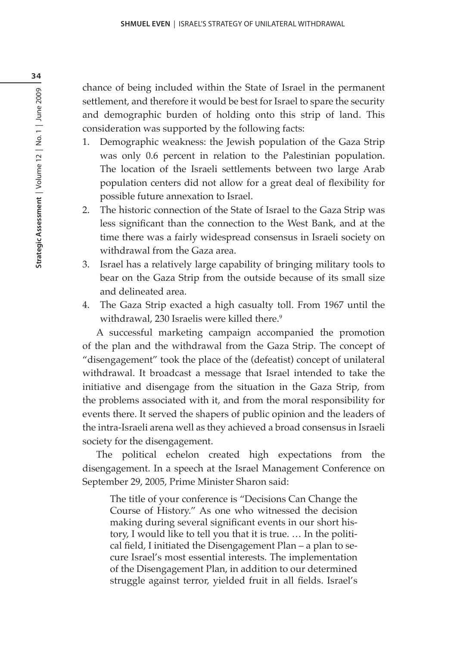chance of being included within the State of Israel in the permanent settlement, and therefore it would be best for Israel to spare the security and demographic burden of holding onto this strip of land. This consideration was supported by the following facts:

- 1. Demographic weakness: the Jewish population of the Gaza Strip was only 0.6 percent in relation to the Palestinian population. The location of the Israeli settlements between two large Arab population centers did not allow for a great deal of flexibility for possible future annexation to Israel.
- 2. The historic connection of the State of Israel to the Gaza Strip was less significant than the connection to the West Bank, and at the time there was a fairly widespread consensus in Israeli society on withdrawal from the Gaza area.
- 3. Israel has a relatively large capability of bringing military tools to bear on the Gaza Strip from the outside because of its small size and delineated area.
- 4. The Gaza Strip exacted a high casualty toll. From 1967 until the withdrawal, 230 Israelis were killed there.<sup>9</sup>

A successful marketing campaign accompanied the promotion of the plan and the withdrawal from the Gaza Strip. The concept of "disengagement" took the place of the (defeatist) concept of unilateral withdrawal. It broadcast a message that Israel intended to take the initiative and disengage from the situation in the Gaza Strip, from the problems associated with it, and from the moral responsibility for events there. It served the shapers of public opinion and the leaders of the intra-Israeli arena well as they achieved a broad consensus in Israeli society for the disengagement.

The political echelon created high expectations from the disengagement. In a speech at the Israel Management Conference on September 29, 2005, Prime Minister Sharon said:

The title of your conference is "Decisions Can Change the Course of History." As one who witnessed the decision making during several significant events in our short history, I would like to tell you that it is true. … In the political field, I initiated the Disengagement Plan – a plan to secure Israel's most essential interests. The implementation of the Disengagement Plan, in addition to our determined struggle against terror, yielded fruit in all fields. Israel's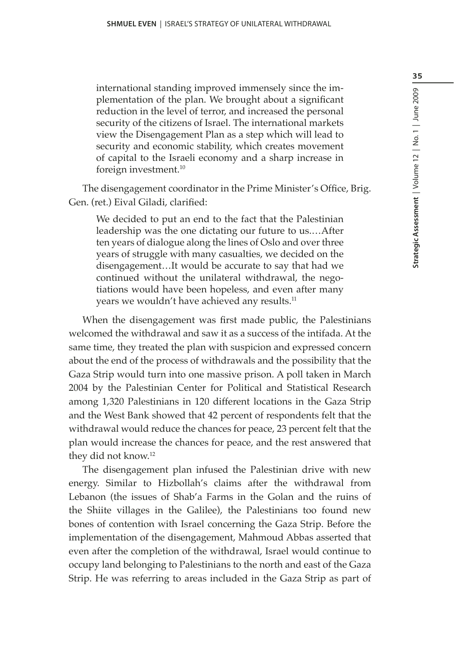international standing improved immensely since the implementation of the plan. We brought about a significant reduction in the level of terror, and increased the personal security of the citizens of Israel. The international markets view the Disengagement Plan as a step which will lead to security and economic stability, which creates movement of capital to the Israeli economy and a sharp increase in foreign investment.10

The disengagement coordinator in the Prime Minister's Office, Brig. Gen. (ret.) Eival Giladi, clarified:

We decided to put an end to the fact that the Palestinian leadership was the one dictating our future to us.…After ten years of dialogue along the lines of Oslo and over three years of struggle with many casualties, we decided on the disengagement…It would be accurate to say that had we continued without the unilateral withdrawal, the negotiations would have been hopeless, and even after many years we wouldn't have achieved any results.<sup>11</sup>

When the disengagement was first made public, the Palestinians welcomed the withdrawal and saw it as a success of the intifada. At the same time, they treated the plan with suspicion and expressed concern about the end of the process of withdrawals and the possibility that the Gaza Strip would turn into one massive prison. A poll taken in March 2004 by the Palestinian Center for Political and Statistical Research among 1,320 Palestinians in 120 different locations in the Gaza Strip and the West Bank showed that 42 percent of respondents felt that the withdrawal would reduce the chances for peace, 23 percent felt that the plan would increase the chances for peace, and the rest answered that they did not know.12

The disengagement plan infused the Palestinian drive with new energy. Similar to Hizbollah's claims after the withdrawal from Lebanon (the issues of Shab'a Farms in the Golan and the ruins of the Shiite villages in the Galilee), the Palestinians too found new bones of contention with Israel concerning the Gaza Strip. Before the implementation of the disengagement, Mahmoud Abbas asserted that even after the completion of the withdrawal, Israel would continue to occupy land belonging to Palestinians to the north and east of the Gaza Strip. He was referring to areas included in the Gaza Strip as part of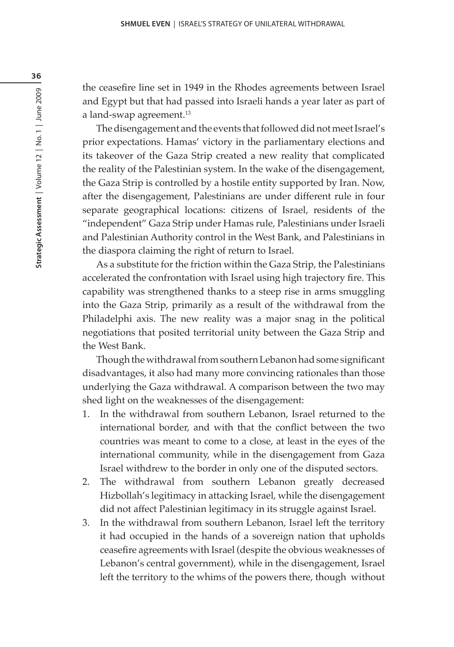the ceasefire line set in 1949 in the Rhodes agreements between Israel and Egypt but that had passed into Israeli hands a year later as part of a land-swap agreement.<sup>13</sup>

The disengagement and the events that followed did not meet Israel's prior expectations. Hamas' victory in the parliamentary elections and its takeover of the Gaza Strip created a new reality that complicated the reality of the Palestinian system. In the wake of the disengagement, the Gaza Strip is controlled by a hostile entity supported by Iran. Now, after the disengagement, Palestinians are under different rule in four separate geographical locations: citizens of Israel, residents of the "independent" Gaza Strip under Hamas rule, Palestinians under Israeli and Palestinian Authority control in the West Bank, and Palestinians in the diaspora claiming the right of return to Israel.

As a substitute for the friction within the Gaza Strip, the Palestinians accelerated the confrontation with Israel using high trajectory fire. This capability was strengthened thanks to a steep rise in arms smuggling into the Gaza Strip, primarily as a result of the withdrawal from the Philadelphi axis. The new reality was a major snag in the political negotiations that posited territorial unity between the Gaza Strip and the West Bank.

Though the withdrawal from southern Lebanon had some significant disadvantages, it also had many more convincing rationales than those underlying the Gaza withdrawal. A comparison between the two may shed light on the weaknesses of the disengagement:

- 1. In the withdrawal from southern Lebanon, Israel returned to the international border, and with that the conflict between the two countries was meant to come to a close, at least in the eyes of the international community, while in the disengagement from Gaza Israel withdrew to the border in only one of the disputed sectors.
- 2. The withdrawal from southern Lebanon greatly decreased Hizbollah's legitimacy in attacking Israel, while the disengagement did not affect Palestinian legitimacy in its struggle against Israel.
- 3. In the withdrawal from southern Lebanon, Israel left the territory it had occupied in the hands of a sovereign nation that upholds ceasefire agreements with Israel (despite the obvious weaknesses of Lebanon's central government), while in the disengagement, Israel left the territory to the whims of the powers there, though without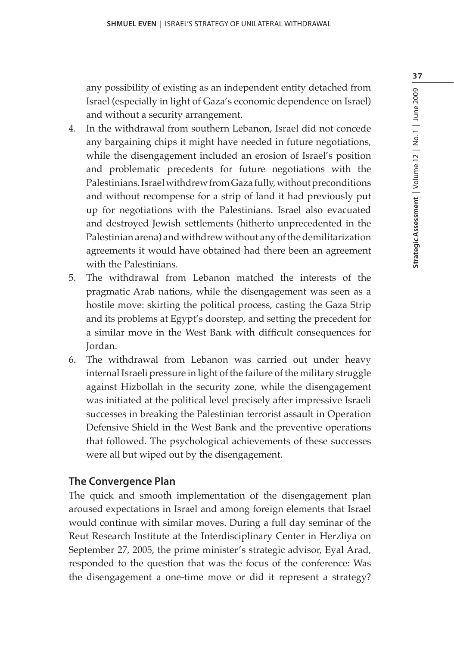37

any possibility of existing as an independent entity detached from Israel (especially in light of Gaza's economic dependence on Israel) and without a security arrangement.

- 4. In the withdrawal from southern Lebanon, Israel did not concede any bargaining chips it might have needed in future negotiations, while the disengagement included an erosion of Israel's position and problematic precedents for future negotiations with the Palestinians. Israel withdrew from Gaza fully, without preconditions and without recompense for a strip of land it had previously put up for negotiations with the Palestinians. Israel also evacuated and destroyed Jewish settlements (hitherto unprecedented in the Palestinian arena) and withdrew without any of the demilitarization agreements it would have obtained had there been an agreement with the Palestinians.
- 5. The withdrawal from Lebanon matched the interests of the pragmatic Arab nations, while the disengagement was seen as a hostile move: skirting the political process, casting the Gaza Strip and its problems at Egypt's doorstep, and setting the precedent for a similar move in the West Bank with difficult consequences for Jordan.
- 6. The withdrawal from Lebanon was carried out under heavy internal Israeli pressure in light of the failure of the military struggle against Hizbollah in the security zone, while the disengagement was initiated at the political level precisely after impressive Israeli successes in breaking the Palestinian terrorist assault in Operation Defensive Shield in the West Bank and the preventive operations that followed. The psychological achievements of these successes were all but wiped out by the disengagement.

#### **The Convergence Plan**

The quick and smooth implementation of the disengagement plan aroused expectations in Israel and among foreign elements that Israel would continue with similar moves. During a full day seminar of the Reut Research Institute at the Interdisciplinary Center in Herzliya on September 27, 2005, the prime minister's strategic advisor, Eyal Arad, responded to the question that was the focus of the conference: Was the disengagement a one-time move or did it represent a strategy?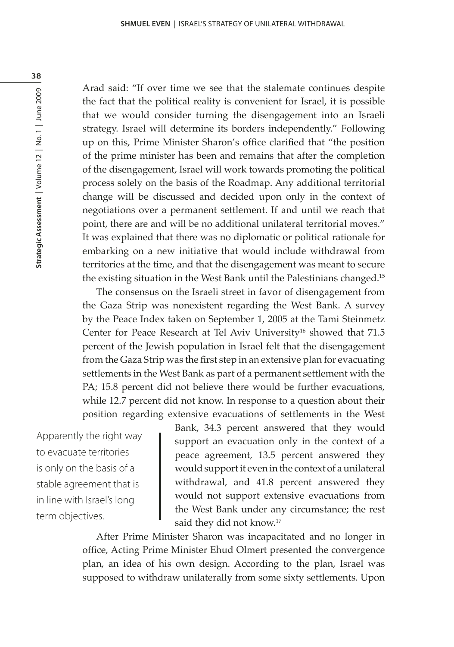Arad said: "If over time we see that the stalemate continues despite the fact that the political reality is convenient for Israel, it is possible that we would consider turning the disengagement into an Israeli strategy. Israel will determine its borders independently." Following up on this, Prime Minister Sharon's office clarified that "the position of the prime minister has been and remains that after the completion of the disengagement, Israel will work towards promoting the political process solely on the basis of the Roadmap. Any additional territorial change will be discussed and decided upon only in the context of negotiations over a permanent settlement. If and until we reach that point, there are and will be no additional unilateral territorial moves." It was explained that there was no diplomatic or political rationale for embarking on a new initiative that would include withdrawal from territories at the time, and that the disengagement was meant to secure the existing situation in the West Bank until the Palestinians changed.15

The consensus on the Israeli street in favor of disengagement from the Gaza Strip was nonexistent regarding the West Bank. A survey by the Peace Index taken on September 1, 2005 at the Tami Steinmetz Center for Peace Research at Tel Aviv University<sup>16</sup> showed that 71.5 percent of the Jewish population in Israel felt that the disengagement from the Gaza Strip was the first step in an extensive plan for evacuating settlements in the West Bank as part of a permanent settlement with the PA; 15.8 percent did not believe there would be further evacuations, while 12.7 percent did not know. In response to a question about their position regarding extensive evacuations of settlements in the West

Apparently the right way to evacuate territories is only on the basis of a stable agreement that is in line with Israel's long term objectives.

Bank, 34.3 percent answered that they would support an evacuation only in the context of a peace agreement, 13.5 percent answered they would support it even in the context of a unilateral withdrawal, and 41.8 percent answered they would not support extensive evacuations from the West Bank under any circumstance; the rest said they did not know.<sup>17</sup>

After Prime Minister Sharon was incapacitated and no longer in office, Acting Prime Minister Ehud Olmert presented the convergence plan, an idea of his own design. According to the plan, Israel was supposed to withdraw unilaterally from some sixty settlements. Upon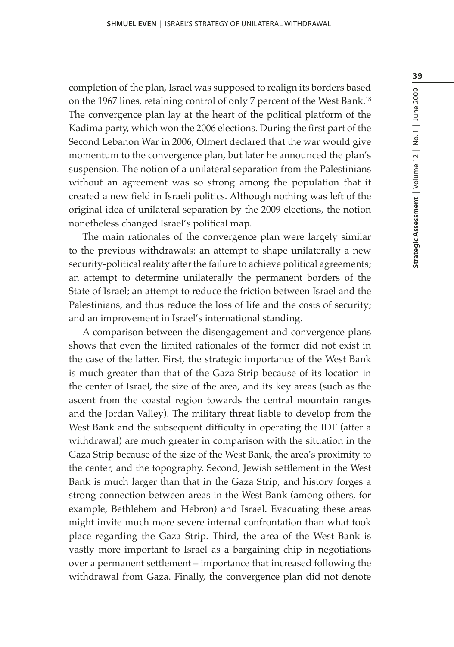completion of the plan, Israel was supposed to realign its borders based on the 1967 lines, retaining control of only 7 percent of the West Bank.<sup>18</sup> The convergence plan lay at the heart of the political platform of the Kadima party, which won the 2006 elections. During the first part of the Second Lebanon War in 2006, Olmert declared that the war would give momentum to the convergence plan, but later he announced the plan's suspension. The notion of a unilateral separation from the Palestinians without an agreement was so strong among the population that it created a new field in Israeli politics. Although nothing was left of the original idea of unilateral separation by the 2009 elections, the notion nonetheless changed Israel's political map.

The main rationales of the convergence plan were largely similar to the previous withdrawals: an attempt to shape unilaterally a new security-political reality after the failure to achieve political agreements; an attempt to determine unilaterally the permanent borders of the State of Israel; an attempt to reduce the friction between Israel and the Palestinians, and thus reduce the loss of life and the costs of security; and an improvement in Israel's international standing.

A comparison between the disengagement and convergence plans shows that even the limited rationales of the former did not exist in the case of the latter. First, the strategic importance of the West Bank is much greater than that of the Gaza Strip because of its location in the center of Israel, the size of the area, and its key areas (such as the ascent from the coastal region towards the central mountain ranges and the Jordan Valley). The military threat liable to develop from the West Bank and the subsequent difficulty in operating the IDF (after a withdrawal) are much greater in comparison with the situation in the Gaza Strip because of the size of the West Bank, the area's proximity to the center, and the topography. Second, Jewish settlement in the West Bank is much larger than that in the Gaza Strip, and history forges a strong connection between areas in the West Bank (among others, for example, Bethlehem and Hebron) and Israel. Evacuating these areas might invite much more severe internal confrontation than what took place regarding the Gaza Strip. Third, the area of the West Bank is vastly more important to Israel as a bargaining chip in negotiations over a permanent settlement – importance that increased following the withdrawal from Gaza. Finally, the convergence plan did not denote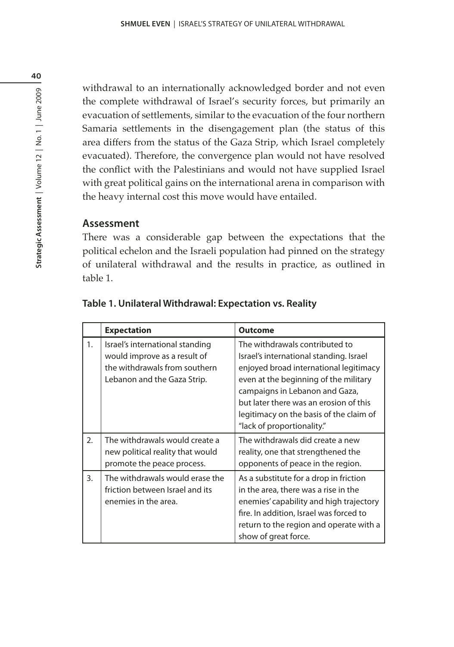withdrawal to an internationally acknowledged border and not even the complete withdrawal of Israel's security forces, but primarily an evacuation of settlements, similar to the evacuation of the four northern Samaria settlements in the disengagement plan (the status of this area differs from the status of the Gaza Strip, which Israel completely evacuated). Therefore, the convergence plan would not have resolved the conflict with the Palestinians and would not have supplied Israel with great political gains on the international arena in comparison with the heavy internal cost this move would have entailed.

## **Assessment**

There was a considerable gap between the expectations that the political echelon and the Israeli population had pinned on the strategy of unilateral withdrawal and the results in practice, as outlined in table 1.

|                  | <b>Expectation</b>                                                                                                              | <b>Outcome</b>                                                                                                                                                                                                                                                                                                    |
|------------------|---------------------------------------------------------------------------------------------------------------------------------|-------------------------------------------------------------------------------------------------------------------------------------------------------------------------------------------------------------------------------------------------------------------------------------------------------------------|
| 1.               | Israel's international standing<br>would improve as a result of<br>the withdrawals from southern<br>Lebanon and the Gaza Strip. | The withdrawals contributed to<br>Israel's international standing. Israel<br>enjoyed broad international legitimacy<br>even at the beginning of the military<br>campaigns in Lebanon and Gaza,<br>but later there was an erosion of this<br>legitimacy on the basis of the claim of<br>"lack of proportionality." |
| 2.               | The withdrawals would create a<br>new political reality that would<br>promote the peace process.                                | The withdrawals did create a new<br>reality, one that strengthened the<br>opponents of peace in the region.                                                                                                                                                                                                       |
| $\overline{3}$ . | The withdrawals would erase the<br>friction between Israel and its<br>enemies in the area.                                      | As a substitute for a drop in friction<br>in the area, there was a rise in the<br>enemies' capability and high trajectory<br>fire. In addition, Israel was forced to<br>return to the region and operate with a<br>show of great force.                                                                           |

### **Table 1. Unilateral Withdrawal: Expectation vs. Reality**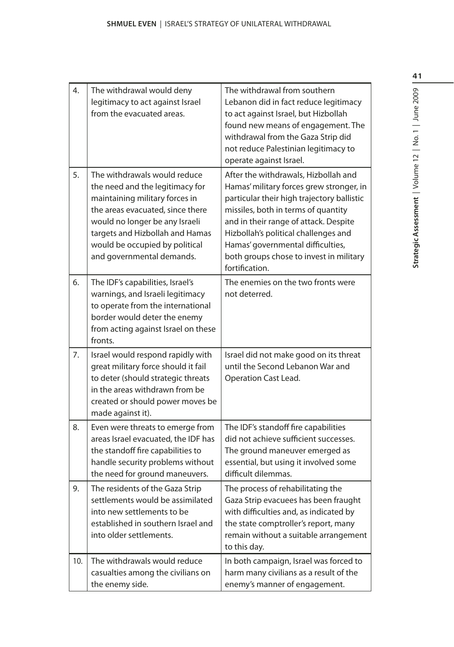| 4.  | The withdrawal would deny<br>legitimacy to act against Israel<br>from the evacuated areas.                                                                                                                                                                                | The withdrawal from southern<br>Lebanon did in fact reduce legitimacy<br>to act against Israel, but Hizbollah<br>found new means of engagement. The<br>withdrawal from the Gaza Strip did<br>not reduce Palestinian legitimacy to<br>operate against Israel.                                                                                             |
|-----|---------------------------------------------------------------------------------------------------------------------------------------------------------------------------------------------------------------------------------------------------------------------------|----------------------------------------------------------------------------------------------------------------------------------------------------------------------------------------------------------------------------------------------------------------------------------------------------------------------------------------------------------|
| 5.  | The withdrawals would reduce<br>the need and the legitimacy for<br>maintaining military forces in<br>the areas evacuated, since there<br>would no longer be any Israeli<br>targets and Hizbollah and Hamas<br>would be occupied by political<br>and governmental demands. | After the withdrawals, Hizbollah and<br>Hamas' military forces grew stronger, in<br>particular their high trajectory ballistic<br>missiles, both in terms of quantity<br>and in their range of attack. Despite<br>Hizbollah's political challenges and<br>Hamas' governmental difficulties,<br>both groups chose to invest in military<br>fortification. |
| 6.  | The IDF's capabilities, Israel's<br>warnings, and Israeli legitimacy<br>to operate from the international<br>border would deter the enemy<br>from acting against Israel on these<br>fronts.                                                                               | The enemies on the two fronts were<br>not deterred.                                                                                                                                                                                                                                                                                                      |
| 7.  | Israel would respond rapidly with<br>great military force should it fail<br>to deter (should strategic threats<br>in the areas withdrawn from be<br>created or should power moves be<br>made against it).                                                                 | Israel did not make good on its threat<br>until the Second Lebanon War and<br>Operation Cast Lead.                                                                                                                                                                                                                                                       |
| 8.  | Even were threats to emerge from<br>areas Israel evacuated, the IDF has<br>the standoff fire capabilities to<br>handle security problems without<br>the need for ground maneuvers.                                                                                        | The IDF's standoff fire capabilities<br>did not achieve sufficient successes.<br>The ground maneuver emerged as<br>essential, but using it involved some<br>difficult dilemmas.                                                                                                                                                                          |
| 9.  | The residents of the Gaza Strip<br>settlements would be assimilated<br>into new settlements to be<br>established in southern Israel and<br>into older settlements.                                                                                                        | The process of rehabilitating the<br>Gaza Strip evacuees has been fraught<br>with difficulties and, as indicated by<br>the state comptroller's report, many<br>remain without a suitable arrangement<br>to this day.                                                                                                                                     |
| 10. | The withdrawals would reduce<br>casualties among the civilians on<br>the enemy side.                                                                                                                                                                                      | In both campaign, Israel was forced to<br>harm many civilians as a result of the<br>enemy's manner of engagement.                                                                                                                                                                                                                                        |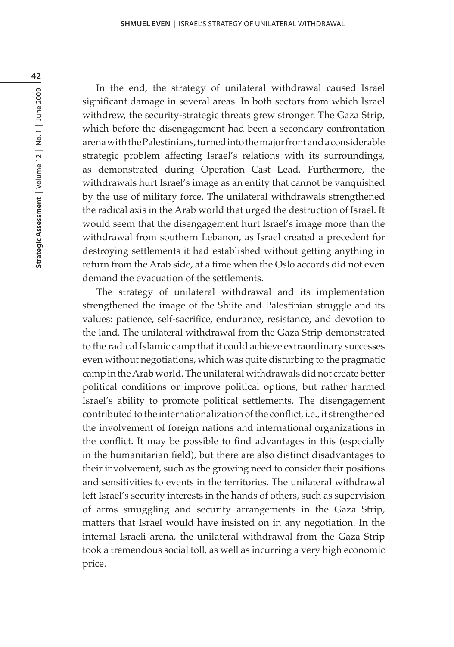In the end, the strategy of unilateral withdrawal caused Israel significant damage in several areas. In both sectors from which Israel withdrew, the security-strategic threats grew stronger. The Gaza Strip, which before the disengagement had been a secondary confrontation arena with the Palestinians, turned into the major front and a considerable strategic problem affecting Israel's relations with its surroundings, as demonstrated during Operation Cast Lead. Furthermore, the withdrawals hurt Israel's image as an entity that cannot be vanquished by the use of military force. The unilateral withdrawals strengthened the radical axis in the Arab world that urged the destruction of Israel. It would seem that the disengagement hurt Israel's image more than the withdrawal from southern Lebanon, as Israel created a precedent for destroying settlements it had established without getting anything in return from the Arab side, at a time when the Oslo accords did not even demand the evacuation of the settlements.

The strategy of unilateral withdrawal and its implementation strengthened the image of the Shiite and Palestinian struggle and its values: patience, self-sacrifice, endurance, resistance, and devotion to the land. The unilateral withdrawal from the Gaza Strip demonstrated to the radical Islamic camp that it could achieve extraordinary successes even without negotiations, which was quite disturbing to the pragmatic camp in the Arab world. The unilateral withdrawals did not create better political conditions or improve political options, but rather harmed Israel's ability to promote political settlements. The disengagement contributed to the internationalization of the conflict, i.e., it strengthened the involvement of foreign nations and international organizations in the conflict. It may be possible to find advantages in this (especially in the humanitarian field), but there are also distinct disadvantages to their involvement, such as the growing need to consider their positions and sensitivities to events in the territories. The unilateral withdrawal left Israel's security interests in the hands of others, such as supervision of arms smuggling and security arrangements in the Gaza Strip, matters that Israel would have insisted on in any negotiation. In the internal Israeli arena, the unilateral withdrawal from the Gaza Strip took a tremendous social toll, as well as incurring a very high economic price.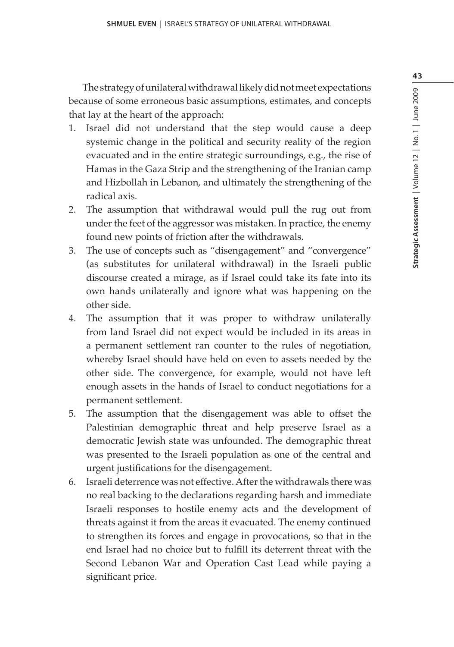43

The strategy of unilateral withdrawal likely did not meet expectations because of some erroneous basic assumptions, estimates, and concepts that lay at the heart of the approach:

- 1. Israel did not understand that the step would cause a deep systemic change in the political and security reality of the region evacuated and in the entire strategic surroundings, e.g., the rise of Hamas in the Gaza Strip and the strengthening of the Iranian camp and Hizbollah in Lebanon, and ultimately the strengthening of the radical axis.
- 2. The assumption that withdrawal would pull the rug out from under the feet of the aggressor was mistaken. In practice, the enemy found new points of friction after the withdrawals.
- 3. The use of concepts such as "disengagement" and "convergence" (as substitutes for unilateral withdrawal) in the Israeli public discourse created a mirage, as if Israel could take its fate into its own hands unilaterally and ignore what was happening on the other side.
- 4. The assumption that it was proper to withdraw unilaterally from land Israel did not expect would be included in its areas in a permanent settlement ran counter to the rules of negotiation, whereby Israel should have held on even to assets needed by the other side. The convergence, for example, would not have left enough assets in the hands of Israel to conduct negotiations for a permanent settlement.
- 5. The assumption that the disengagement was able to offset the Palestinian demographic threat and help preserve Israel as a democratic Jewish state was unfounded. The demographic threat was presented to the Israeli population as one of the central and urgent justifications for the disengagement.
- 6. Israeli deterrence was not effective. After the withdrawals there was no real backing to the declarations regarding harsh and immediate Israeli responses to hostile enemy acts and the development of threats against it from the areas it evacuated. The enemy continued to strengthen its forces and engage in provocations, so that in the end Israel had no choice but to fulfill its deterrent threat with the Second Lebanon War and Operation Cast Lead while paying a significant price.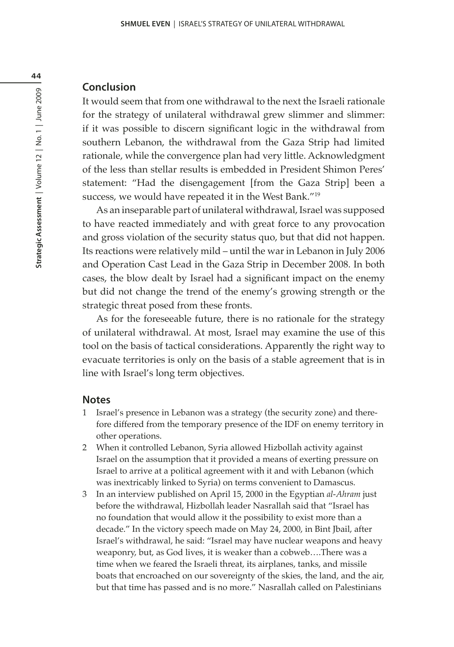#### **Conclusion**

It would seem that from one withdrawal to the next the Israeli rationale for the strategy of unilateral withdrawal grew slimmer and slimmer: if it was possible to discern significant logic in the withdrawal from southern Lebanon, the withdrawal from the Gaza Strip had limited rationale, while the convergence plan had very little. Acknowledgment of the less than stellar results is embedded in President Shimon Peres' statement: "Had the disengagement [from the Gaza Strip] been a success, we would have repeated it in the West Bank."<sup>19</sup>

As an inseparable part of unilateral withdrawal, Israel was supposed to have reacted immediately and with great force to any provocation and gross violation of the security status quo, but that did not happen. Its reactions were relatively mild – until the war in Lebanon in July 2006 and Operation Cast Lead in the Gaza Strip in December 2008. In both cases, the blow dealt by Israel had a significant impact on the enemy but did not change the trend of the enemy's growing strength or the strategic threat posed from these fronts.

As for the foreseeable future, there is no rationale for the strategy of unilateral withdrawal. At most, Israel may examine the use of this tool on the basis of tactical considerations. Apparently the right way to evacuate territories is only on the basis of a stable agreement that is in line with Israel's long term objectives.

#### **Notes**

- 1 Israel's presence in Lebanon was a strategy (the security zone) and therefore differed from the temporary presence of the IDF on enemy territory in other operations.
- 2 When it controlled Lebanon, Syria allowed Hizbollah activity against Israel on the assumption that it provided a means of exerting pressure on Israel to arrive at a political agreement with it and with Lebanon (which was inextricably linked to Syria) on terms convenient to Damascus.
- 3 In an interview published on April 15, 2000 in the Egyptian *al-Ahram* just before the withdrawal, Hizbollah leader Nasrallah said that "Israel has no foundation that would allow it the possibility to exist more than a decade." In the victory speech made on May 24, 2000, in Bint Jbail, after Israel's withdrawal, he said: "Israel may have nuclear weapons and heavy weaponry, but, as God lives, it is weaker than a cobweb….There was a time when we feared the Israeli threat, its airplanes, tanks, and missile boats that encroached on our sovereignty of the skies, the land, and the air, but that time has passed and is no more." Nasrallah called on Palestinians